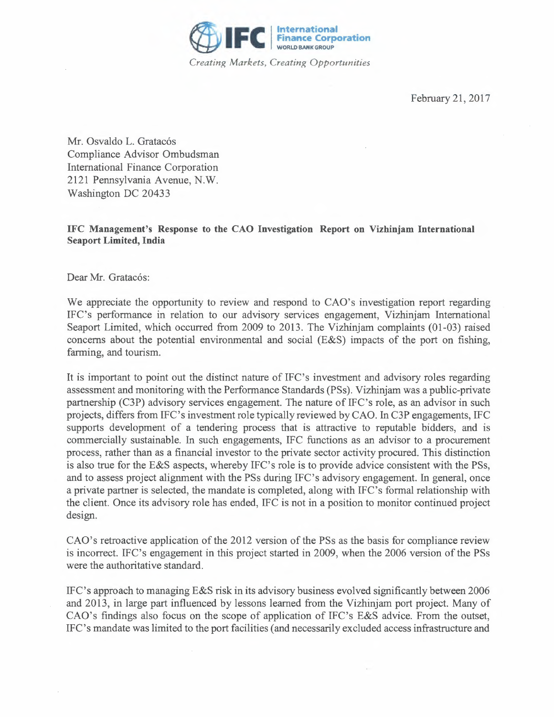

Mr. Osvaldo L. Gratacós Compliance Advisor Ombudsman International Finance Corporation 2121 Pennsylvania Avenue, N.W. Washington DC 20433

## **IFC Management's Response to the CAO Investigation Report on Vizhinjam International Seaport Limited, India**

Dear Mr. Gratacós:

We appreciate the opportunity to review and respond to CAO's investigation report regarding IFC's performance in relation to our advisory services engagement, Vizhinjam International Seaport Limited, which occurred from 2009 to 2013. The Vizhinjam complaints (01-03) raised concerns about the potential environmental and social (E&S) impacts of the port on fishing, farming, and tourism.

It is important to point out the distinct nature of IFC's investment and advisory roles regarding assessment and monitoring with the Performance Standards (PSs). Vizhinjam was a public-private partnership (C3P) advisory services engagement. The nature of IFC's role, as an advisor in such projects, differs from IFC's investment role typically reviewed by CAO. In C3P engagements, IFC supports development of a tendering process that is attractive to reputable bidders, and is commercially sustainable. In such engagements, IFC functions as an advisor to a procurement process, rather than as a financial investor to the private sector activity procured. This distinction is also true for the E&S aspects, whereby IFC's role is to provide advice consistent with the PSs, and to assess project alignment with the PSs during IFC's advisory engagement. In general, once a private partner is selected, the mandate is completed, along with IFC's formal relationship with the client. Once its advisory role has ended, IFC is not in a position to monitor continued project design.

CAO's retroactive application of the 2012 version of the PSs as the basis for compliance review is incorrect. IFC's engagement in this project started in 2009, when the 2006 version of the PSs were the authoritative standard.

IFC's approach to managing E&S risk in its advisory business evolved significantly between 2006 and 2013, in large part influenced by lessons learned from the Vizhinjam port project. Many of CAO's findings also focus on the scope of application of IFC's E&S advice. From the outset, IFC's mandate was limited to the port facilities (and necessarily excluded access infrastructure and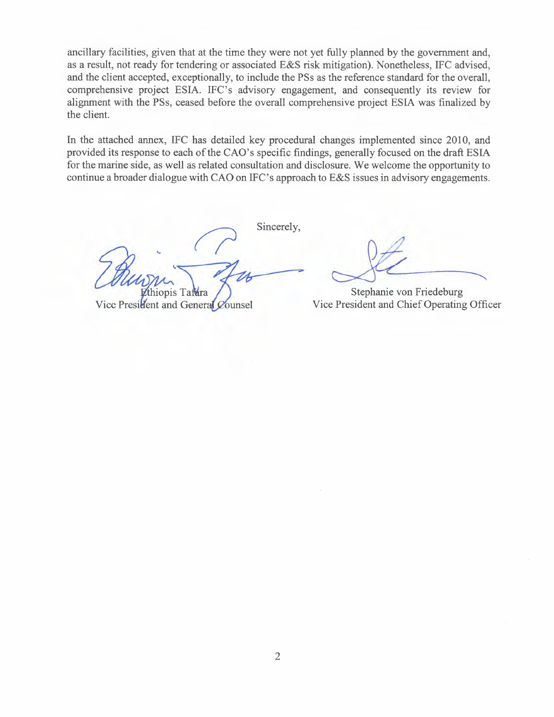ancillary facilities, given that at the time they were not yet fully planned by the government and, as a result, not ready for tendering or associated E&S risk mitigation). Nonetheless, IFC advised, and the client accepted, exceptionally, to include the PSs as the reference standard for the overall, comprehensive project ESIA. IFC's advisory engagement, and consequently its review for alignment with the PSs, ceased before the overall comprehensive project ESIA was finalized by the client.

In the attached annex, IFC has detailed key procedural changes implemented since 2010, and provided its response to each of the CAO's specific findings, generally focused on the draft ESIA for the marine side, as well as related consultation and disclosure. We welcome the opportunity to continue a broader dialogue with CAO on IFC's approach to E&S issues in advisory engagements.

Sincerely,

manus<br>Chapture Ethiopis Tal thiopis Tafara

Vice President and General Counsel

Stephanie von Friedeburg Vice President and Chief Operating Officer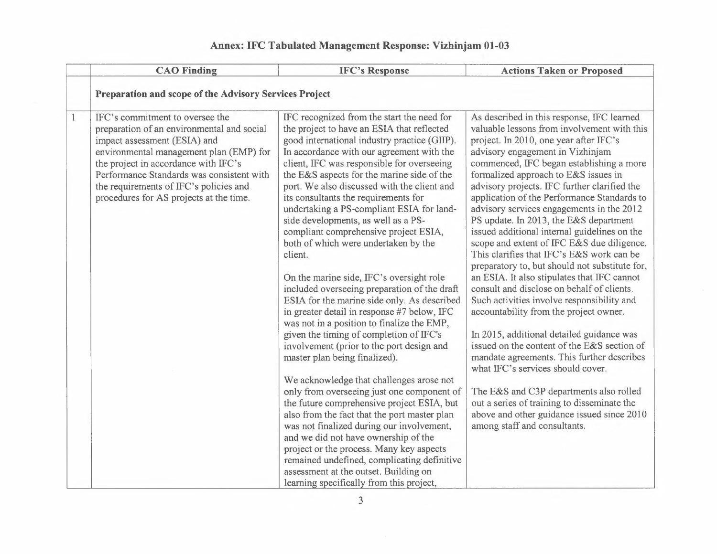## **Annex: IFC Tabulated Management Response: Vizhinjam 01-03**

|              | <b>CAO Finding</b>                                                                                                                                                                                                                                                                                                                 | <b>IFC's Response</b>                                                                                                                                                                                                                                                                                                                                                                                                                                                                                                                                                                                                                                                                                                                                                                                                                                                                                                                                                                                                                                                                                                                                                                                                                                                                                                                                                                  | <b>Actions Taken or Proposed</b>                                                                                                                                                                                                                                                                                                                                                                                                                                                                                                                                                                                                                                                                                                                                                                                                                                                                                                                                                                                                                                                                                                                                                           |
|--------------|------------------------------------------------------------------------------------------------------------------------------------------------------------------------------------------------------------------------------------------------------------------------------------------------------------------------------------|----------------------------------------------------------------------------------------------------------------------------------------------------------------------------------------------------------------------------------------------------------------------------------------------------------------------------------------------------------------------------------------------------------------------------------------------------------------------------------------------------------------------------------------------------------------------------------------------------------------------------------------------------------------------------------------------------------------------------------------------------------------------------------------------------------------------------------------------------------------------------------------------------------------------------------------------------------------------------------------------------------------------------------------------------------------------------------------------------------------------------------------------------------------------------------------------------------------------------------------------------------------------------------------------------------------------------------------------------------------------------------------|--------------------------------------------------------------------------------------------------------------------------------------------------------------------------------------------------------------------------------------------------------------------------------------------------------------------------------------------------------------------------------------------------------------------------------------------------------------------------------------------------------------------------------------------------------------------------------------------------------------------------------------------------------------------------------------------------------------------------------------------------------------------------------------------------------------------------------------------------------------------------------------------------------------------------------------------------------------------------------------------------------------------------------------------------------------------------------------------------------------------------------------------------------------------------------------------|
|              | Preparation and scope of the Advisory Services Project                                                                                                                                                                                                                                                                             |                                                                                                                                                                                                                                                                                                                                                                                                                                                                                                                                                                                                                                                                                                                                                                                                                                                                                                                                                                                                                                                                                                                                                                                                                                                                                                                                                                                        |                                                                                                                                                                                                                                                                                                                                                                                                                                                                                                                                                                                                                                                                                                                                                                                                                                                                                                                                                                                                                                                                                                                                                                                            |
| $\mathbf{1}$ | IFC's commitment to oversee the<br>preparation of an environmental and social<br>impact assessment (ESIA) and<br>environmental management plan (EMP) for<br>the project in accordance with IFC's<br>Performance Standards was consistent with<br>the requirements of IFC's policies and<br>procedures for AS projects at the time. | IFC recognized from the start the need for<br>the project to have an ESIA that reflected<br>good international industry practice (GIIP).<br>In accordance with our agreement with the<br>client, IFC was responsible for overseeing<br>the E&S aspects for the marine side of the<br>port. We also discussed with the client and<br>its consultants the requirements for<br>undertaking a PS-compliant ESIA for land-<br>side developments, as well as a PS-<br>compliant comprehensive project ESIA,<br>both of which were undertaken by the<br>client.<br>On the marine side, IFC's oversight role<br>included overseeing preparation of the draft<br>ESIA for the marine side only. As described<br>in greater detail in response #7 below, IFC<br>was not in a position to finalize the EMP,<br>given the timing of completion of IFC's<br>involvement (prior to the port design and<br>master plan being finalized).<br>We acknowledge that challenges arose not<br>only from overseeing just one component of<br>the future comprehensive project ESIA, but<br>also from the fact that the port master plan<br>was not finalized during our involvement,<br>and we did not have ownership of the<br>project or the process. Many key aspects<br>remained undefined, complicating definitive<br>assessment at the outset. Building on<br>learning specifically from this project, | As described in this response, IFC learned<br>valuable lessons from involvement with this<br>project. In 2010, one year after IFC's<br>advisory engagement in Vizhinjam<br>commenced, IFC began establishing a more<br>formalized approach to E&S issues in<br>advisory projects. IFC further clarified the<br>application of the Performance Standards to<br>advisory services engagements in the 2012<br>PS update. In 2013, the E&S department<br>issued additional internal guidelines on the<br>scope and extent of IFC E&S due diligence.<br>This clarifies that IFC's E&S work can be<br>preparatory to, but should not substitute for,<br>an ESIA. It also stipulates that IFC cannot<br>consult and disclose on behalf of clients.<br>Such activities involve responsibility and<br>accountability from the project owner.<br>In 2015, additional detailed guidance was<br>issued on the content of the E&S section of<br>mandate agreements. This further describes<br>what IFC's services should cover.<br>The E&S and C3P departments also rolled<br>out a series of training to disseminate the<br>above and other guidance issued since 2010<br>among staff and consultants. |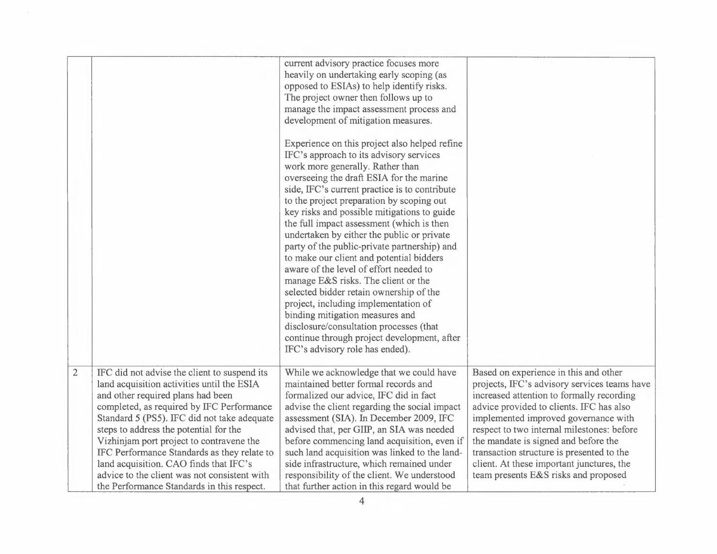|                |                                                                                                                                                                                                                                                                                                                                                                                                                                                                                                          | current advisory practice focuses more<br>heavily on undertaking early scoping (as<br>opposed to ESIAs) to help identify risks.<br>The project owner then follows up to<br>manage the impact assessment process and<br>development of mitigation measures.<br>Experience on this project also helped refine<br>IFC's approach to its advisory services<br>work more generally. Rather than<br>overseeing the draft ESIA for the marine<br>side, IFC's current practice is to contribute<br>to the project preparation by scoping out<br>key risks and possible mitigations to guide<br>the full impact assessment (which is then<br>undertaken by either the public or private<br>party of the public-private partnership) and<br>to make our client and potential bidders<br>aware of the level of effort needed to<br>manage E&S risks. The client or the<br>selected bidder retain ownership of the<br>project, including implementation of<br>binding mitigation measures and<br>disclosure/consultation processes (that<br>continue through project development, after<br>IFC's advisory role has ended). |                                                                                                                                                                                                                                                                                                                                                                                                                                                |
|----------------|----------------------------------------------------------------------------------------------------------------------------------------------------------------------------------------------------------------------------------------------------------------------------------------------------------------------------------------------------------------------------------------------------------------------------------------------------------------------------------------------------------|----------------------------------------------------------------------------------------------------------------------------------------------------------------------------------------------------------------------------------------------------------------------------------------------------------------------------------------------------------------------------------------------------------------------------------------------------------------------------------------------------------------------------------------------------------------------------------------------------------------------------------------------------------------------------------------------------------------------------------------------------------------------------------------------------------------------------------------------------------------------------------------------------------------------------------------------------------------------------------------------------------------------------------------------------------------------------------------------------------------|------------------------------------------------------------------------------------------------------------------------------------------------------------------------------------------------------------------------------------------------------------------------------------------------------------------------------------------------------------------------------------------------------------------------------------------------|
| $\overline{2}$ | IFC did not advise the client to suspend its<br>land acquisition activities until the ESIA<br>and other required plans had been<br>completed, as required by IFC Performance<br>Standard 5 (PS5). IFC did not take adequate<br>steps to address the potential for the<br>Vizhinjam port project to contravene the<br>IFC Performance Standards as they relate to<br>land acquisition. CAO finds that IFC's<br>advice to the client was not consistent with<br>the Performance Standards in this respect. | While we acknowledge that we could have<br>maintained better formal records and<br>formalized our advice, IFC did in fact<br>advise the client regarding the social impact<br>assessment (SIA). In December 2009, IFC<br>advised that, per GIIP, an SIA was needed<br>before commencing land acquisition, even if<br>such land acquisition was linked to the land-<br>side infrastructure, which remained under<br>responsibility of the client. We understood<br>that further action in this regard would be                                                                                                                                                                                                                                                                                                                                                                                                                                                                                                                                                                                                  | Based on experience in this and other<br>projects, IFC's advisory services teams have<br>increased attention to formally recording<br>advice provided to clients. IFC has also<br>implemented improved governance with<br>respect to two internal milestones: before<br>the mandate is signed and before the<br>transaction structure is presented to the<br>client. At these important junctures, the<br>team presents E&S risks and proposed |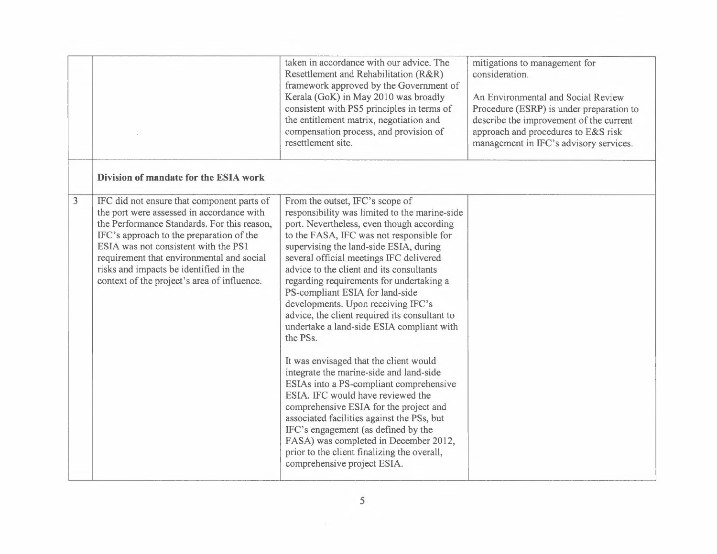|                                                                                                                                                                                                                                                                                                                                                                       | taken in accordance with our advice. The<br>mitigations to management for<br>Resettlement and Rehabilitation (R&R)<br>consideration.<br>framework approved by the Government of<br>Kerala (GoK) in May 2010 was broadly<br>An Environmental and Social Review<br>consistent with PS5 principles in terms of<br>Procedure (ESRP) is under preparation to<br>the entitlement matrix, negotiation and<br>describe the improvement of the current<br>compensation process, and provision of<br>approach and procedures to E&S risk<br>resettlement site.<br>management in IFC's advisory services.                                                                                                                                                                                                                                                                                                                                                                       |
|-----------------------------------------------------------------------------------------------------------------------------------------------------------------------------------------------------------------------------------------------------------------------------------------------------------------------------------------------------------------------|----------------------------------------------------------------------------------------------------------------------------------------------------------------------------------------------------------------------------------------------------------------------------------------------------------------------------------------------------------------------------------------------------------------------------------------------------------------------------------------------------------------------------------------------------------------------------------------------------------------------------------------------------------------------------------------------------------------------------------------------------------------------------------------------------------------------------------------------------------------------------------------------------------------------------------------------------------------------|
| Division of mandate for the ESIA work                                                                                                                                                                                                                                                                                                                                 |                                                                                                                                                                                                                                                                                                                                                                                                                                                                                                                                                                                                                                                                                                                                                                                                                                                                                                                                                                      |
| 3<br>IFC did not ensure that component parts of<br>the port were assessed in accordance with<br>the Performance Standards. For this reason,<br>IFC's approach to the preparation of the<br>ESIA was not consistent with the PS1<br>requirement that environmental and social<br>risks and impacts be identified in the<br>context of the project's area of influence. | From the outset, IFC's scope of<br>responsibility was limited to the marine-side<br>port. Nevertheless, even though according<br>to the FASA, IFC was not responsible for<br>supervising the land-side ESIA, during<br>several official meetings IFC delivered<br>advice to the client and its consultants<br>regarding requirements for undertaking a<br>PS-compliant ESIA for land-side<br>developments. Upon receiving IFC's<br>advice, the client required its consultant to<br>undertake a land-side ESIA compliant with<br>the PSs.<br>It was envisaged that the client would<br>integrate the marine-side and land-side<br>ESIAs into a PS-compliant comprehensive<br>ESIA. IFC would have reviewed the<br>comprehensive ESIA for the project and<br>associated facilities against the PSs, but<br>IFC's engagement (as defined by the<br>FASA) was completed in December 2012,<br>prior to the client finalizing the overall,<br>comprehensive project ESIA. |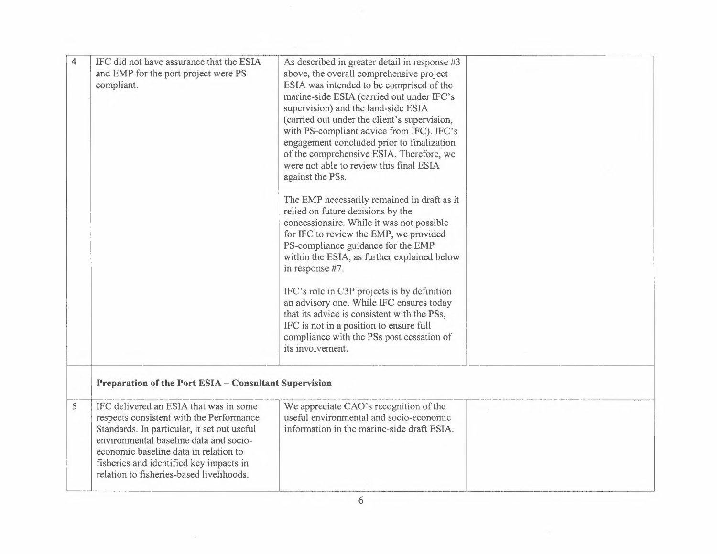| 4 | IFC did not have assurance that the ESIA<br>and EMP for the port project were PS<br>compliant.                                                                                                                                                                                                              | As described in greater detail in response #3<br>above, the overall comprehensive project<br>ESIA was intended to be comprised of the<br>marine-side ESIA (carried out under IFC's<br>supervision) and the land-side ESIA<br>(carried out under the client's supervision,<br>with PS-compliant advice from IFC). IFC's<br>engagement concluded prior to finalization<br>of the comprehensive ESIA. Therefore, we<br>were not able to review this final ESIA<br>against the PSs.<br>The EMP necessarily remained in draft as it<br>relied on future decisions by the<br>concessionaire. While it was not possible<br>for IFC to review the EMP, we provided<br>PS-compliance guidance for the EMP<br>within the ESIA, as further explained below<br>in response #7.<br>IFC's role in C3P projects is by definition<br>an advisory one. While IFC ensures today<br>that its advice is consistent with the PSs,<br>IFC is not in a position to ensure full<br>compliance with the PSs post cessation of<br>its involvement. |  |
|---|-------------------------------------------------------------------------------------------------------------------------------------------------------------------------------------------------------------------------------------------------------------------------------------------------------------|--------------------------------------------------------------------------------------------------------------------------------------------------------------------------------------------------------------------------------------------------------------------------------------------------------------------------------------------------------------------------------------------------------------------------------------------------------------------------------------------------------------------------------------------------------------------------------------------------------------------------------------------------------------------------------------------------------------------------------------------------------------------------------------------------------------------------------------------------------------------------------------------------------------------------------------------------------------------------------------------------------------------------|--|
|   | Preparation of the Port ESIA - Consultant Supervision                                                                                                                                                                                                                                                       |                                                                                                                                                                                                                                                                                                                                                                                                                                                                                                                                                                                                                                                                                                                                                                                                                                                                                                                                                                                                                          |  |
| 5 | IFC delivered an ESIA that was in some<br>respects consistent with the Performance<br>Standards. In particular, it set out useful<br>environmental baseline data and socio-<br>economic baseline data in relation to<br>fisheries and identified key impacts in<br>relation to fisheries-based livelihoods. | We appreciate CAO's recognition of the<br>useful environmental and socio-economic<br>information in the marine-side draft ESIA.                                                                                                                                                                                                                                                                                                                                                                                                                                                                                                                                                                                                                                                                                                                                                                                                                                                                                          |  |
|   |                                                                                                                                                                                                                                                                                                             | 6                                                                                                                                                                                                                                                                                                                                                                                                                                                                                                                                                                                                                                                                                                                                                                                                                                                                                                                                                                                                                        |  |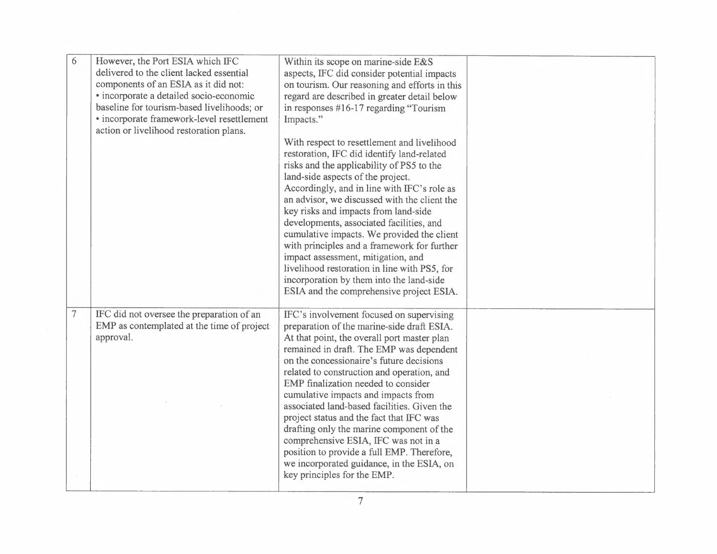| 6              | However, the Port ESIA which IFC<br>delivered to the client lacked essential<br>components of an ESIA as it did not:<br>· incorporate a detailed socio-economic<br>baseline for tourism-based livelihoods; or<br>· incorporate framework-level resettlement<br>action or livelihood restoration plans. | Within its scope on marine-side E&S<br>aspects, IFC did consider potential impacts<br>on tourism. Our reasoning and efforts in this<br>regard are described in greater detail below<br>in responses $#16-17$ regarding "Tourism"<br>Impacts."                                                                                                                                                                                                                                                                                                                                                                                                                       |  |
|----------------|--------------------------------------------------------------------------------------------------------------------------------------------------------------------------------------------------------------------------------------------------------------------------------------------------------|---------------------------------------------------------------------------------------------------------------------------------------------------------------------------------------------------------------------------------------------------------------------------------------------------------------------------------------------------------------------------------------------------------------------------------------------------------------------------------------------------------------------------------------------------------------------------------------------------------------------------------------------------------------------|--|
|                |                                                                                                                                                                                                                                                                                                        | With respect to resettlement and livelihood<br>restoration, IFC did identify land-related<br>risks and the applicability of PS5 to the<br>land-side aspects of the project.<br>Accordingly, and in line with IFC's role as<br>an advisor, we discussed with the client the<br>key risks and impacts from land-side<br>developments, associated facilities, and<br>cumulative impacts. We provided the client<br>with principles and a framework for further<br>impact assessment, mitigation, and<br>livelihood restoration in line with PS5, for<br>incorporation by them into the land-side<br>ESIA and the comprehensive project ESIA.                           |  |
| $\overline{7}$ | IFC did not oversee the preparation of an<br>EMP as contemplated at the time of project<br>approval.                                                                                                                                                                                                   | IFC's involvement focused on supervising<br>preparation of the marine-side draft ESIA.<br>At that point, the overall port master plan<br>remained in draft. The EMP was dependent<br>on the concessionaire's future decisions<br>related to construction and operation, and<br>EMP finalization needed to consider<br>cumulative impacts and impacts from<br>associated land-based facilities. Given the<br>project status and the fact that IFC was<br>drafting only the marine component of the<br>comprehensive ESIA, IFC was not in a<br>position to provide a full EMP. Therefore,<br>we incorporated guidance, in the ESIA, on<br>key principles for the EMP. |  |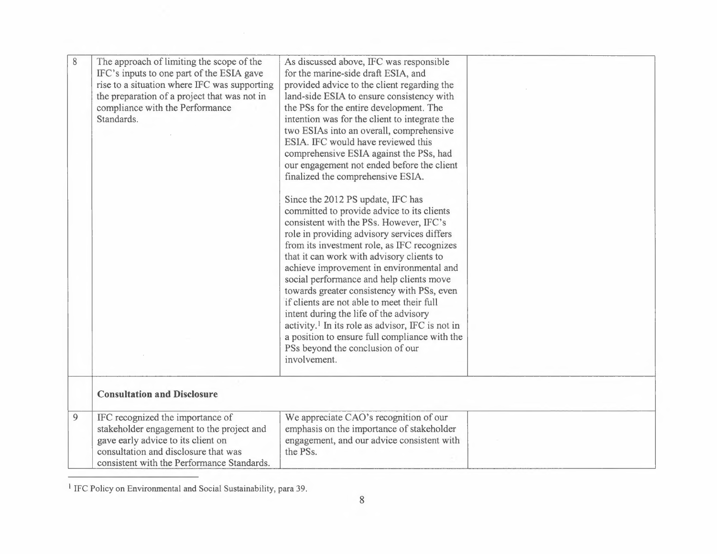| $8\,$ | The approach of limiting the scope of the<br>IFC's inputs to one part of the ESIA gave<br>rise to a situation where IFC was supporting<br>the preparation of a project that was not in<br>compliance with the Performance<br>Standards. | As discussed above, IFC was responsible<br>for the marine-side draft ESIA, and<br>provided advice to the client regarding the<br>land-side ESIA to ensure consistency with<br>the PSs for the entire development. The<br>intention was for the client to integrate the<br>two ESIAs into an overall, comprehensive<br>ESIA. IFC would have reviewed this<br>comprehensive ESIA against the PSs, had<br>our engagement not ended before the client<br>finalized the comprehensive ESIA.<br>Since the 2012 PS update, IFC has<br>committed to provide advice to its clients<br>consistent with the PSs. However, IFC's<br>role in providing advisory services differs<br>from its investment role, as IFC recognizes<br>that it can work with advisory clients to<br>achieve improvement in environmental and<br>social performance and help clients move<br>towards greater consistency with PSs, even<br>if clients are not able to meet their full<br>intent during the life of the advisory<br>activity. <sup>1</sup> In its role as advisor, IFC is not in<br>a position to ensure full compliance with the<br>PSs beyond the conclusion of our<br>involvement. |  |
|-------|-----------------------------------------------------------------------------------------------------------------------------------------------------------------------------------------------------------------------------------------|--------------------------------------------------------------------------------------------------------------------------------------------------------------------------------------------------------------------------------------------------------------------------------------------------------------------------------------------------------------------------------------------------------------------------------------------------------------------------------------------------------------------------------------------------------------------------------------------------------------------------------------------------------------------------------------------------------------------------------------------------------------------------------------------------------------------------------------------------------------------------------------------------------------------------------------------------------------------------------------------------------------------------------------------------------------------------------------------------------------------------------------------------------------------|--|
|       | <b>Consultation and Disclosure</b>                                                                                                                                                                                                      |                                                                                                                                                                                                                                                                                                                                                                                                                                                                                                                                                                                                                                                                                                                                                                                                                                                                                                                                                                                                                                                                                                                                                                    |  |
| 9     | IFC recognized the importance of<br>stakeholder engagement to the project and<br>gave early advice to its client on<br>consultation and disclosure that was<br>consistent with the Performance Standards.                               | We appreciate CAO's recognition of our<br>emphasis on the importance of stakeholder<br>engagement, and our advice consistent with<br>the PSs.                                                                                                                                                                                                                                                                                                                                                                                                                                                                                                                                                                                                                                                                                                                                                                                                                                                                                                                                                                                                                      |  |

<sup>1</sup> IFC Policy on Environmental and Social Sustainability, para 39.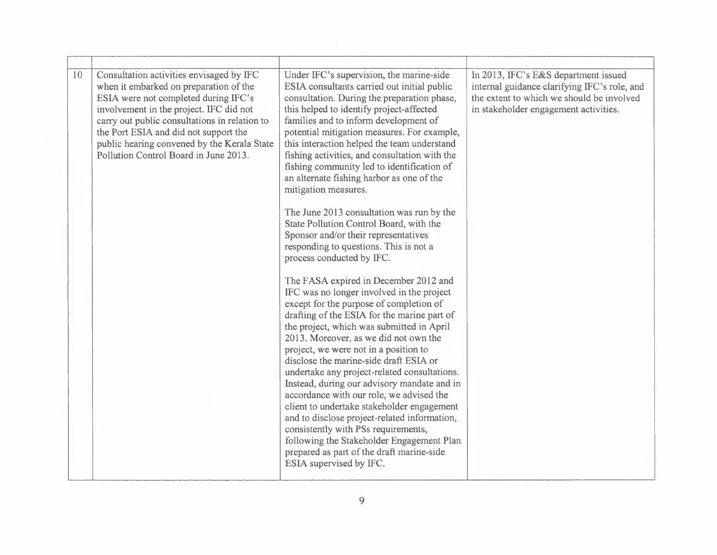| Consultation activities envisaged by IFC<br>10<br>when it embarked on preparation of the<br>ESIA were not completed during IFC's<br>involvement in the project. IFC did not<br>carry out public consultations in relation to<br>the Port ESIA and did not support the<br>public hearing convened by the Kerala State<br>Pollution Control Board in June 2013. | Under IFC's supervision, the marine-side<br>ESIA consultants carried out initial public<br>consultation. During the preparation phase,<br>this helped to identify project-affected<br>families and to inform development of<br>potential mitigation measures. For example,<br>this interaction helped the team understand<br>fishing activities, and consultation with the<br>fishing community led to identification of<br>an alternate fishing harbor as one of the<br>mitigation measures.<br>The June 2013 consultation was run by the<br>State Pollution Control Board, with the<br>Sponsor and/or their representatives<br>responding to questions. This is not a<br>process conducted by IFC.<br>The FASA expired in December 2012 and<br>IFC was no longer involved in the project<br>except for the purpose of completion of<br>drafting of the ESIA for the marine part of<br>the project, which was submitted in April<br>2013. Moreover, as we did not own the<br>project, we were not in a position to<br>disclose the marine-side draft ESIA or<br>undertake any project-related consultations.<br>Instead, during our advisory mandate and in<br>accordance with our role, we advised the<br>client to undertake stakeholder engagement<br>and to disclose project-related information,<br>consistently with PSs requirements,<br>following the Stakeholder Engagement Plan<br>prepared as part of the draft marine-side<br>ESIA supervised by IFC. | In 2013, IFC's E&S department issued<br>internal guidance clarifying IFC's role, and<br>the extent to which we should be involved<br>in stakeholder engagement activities. |
|---------------------------------------------------------------------------------------------------------------------------------------------------------------------------------------------------------------------------------------------------------------------------------------------------------------------------------------------------------------|--------------------------------------------------------------------------------------------------------------------------------------------------------------------------------------------------------------------------------------------------------------------------------------------------------------------------------------------------------------------------------------------------------------------------------------------------------------------------------------------------------------------------------------------------------------------------------------------------------------------------------------------------------------------------------------------------------------------------------------------------------------------------------------------------------------------------------------------------------------------------------------------------------------------------------------------------------------------------------------------------------------------------------------------------------------------------------------------------------------------------------------------------------------------------------------------------------------------------------------------------------------------------------------------------------------------------------------------------------------------------------------------------------------------------------------------------------------------|----------------------------------------------------------------------------------------------------------------------------------------------------------------------------|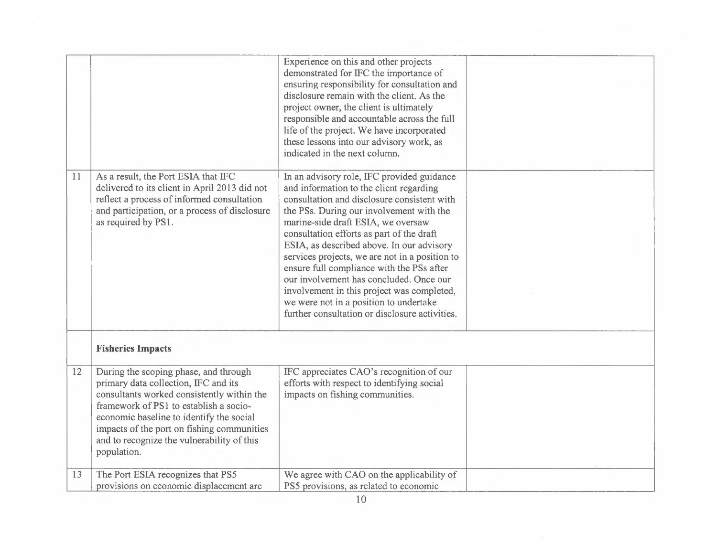|    |                                                                                                                                                                                                                                                                                                                              | Experience on this and other projects<br>demonstrated for IFC the importance of<br>ensuring responsibility for consultation and<br>disclosure remain with the client. As the<br>project owner, the client is ultimately<br>responsible and accountable across the full<br>life of the project. We have incorporated<br>these lessons into our advisory work, as<br>indicated in the next column.                                                                                                                                                                                                     |  |
|----|------------------------------------------------------------------------------------------------------------------------------------------------------------------------------------------------------------------------------------------------------------------------------------------------------------------------------|------------------------------------------------------------------------------------------------------------------------------------------------------------------------------------------------------------------------------------------------------------------------------------------------------------------------------------------------------------------------------------------------------------------------------------------------------------------------------------------------------------------------------------------------------------------------------------------------------|--|
| 11 | As a result, the Port ESIA that IFC<br>delivered to its client in April 2013 did not<br>reflect a process of informed consultation<br>and participation, or a process of disclosure<br>as required by PS1.                                                                                                                   | In an advisory role, IFC provided guidance<br>and information to the client regarding<br>consultation and disclosure consistent with<br>the PSs. During our involvement with the<br>marine-side draft ESIA, we oversaw<br>consultation efforts as part of the draft<br>ESIA, as described above. In our advisory<br>services projects, we are not in a position to<br>ensure full compliance with the PSs after<br>our involvement has concluded. Once our<br>involvement in this project was completed,<br>we were not in a position to undertake<br>further consultation or disclosure activities. |  |
|    | <b>Fisheries Impacts</b>                                                                                                                                                                                                                                                                                                     |                                                                                                                                                                                                                                                                                                                                                                                                                                                                                                                                                                                                      |  |
| 12 | During the scoping phase, and through<br>primary data collection, IFC and its<br>consultants worked consistently within the<br>framework of PS1 to establish a socio-<br>economic baseline to identify the social<br>impacts of the port on fishing communities<br>and to recognize the vulnerability of this<br>population. | IFC appreciates CAO's recognition of our<br>efforts with respect to identifying social<br>impacts on fishing communities.                                                                                                                                                                                                                                                                                                                                                                                                                                                                            |  |
| 13 | The Port ESIA recognizes that PS5<br>provisions on economic displacement are                                                                                                                                                                                                                                                 | We agree with CAO on the applicability of<br>PS5 provisions, as related to economic                                                                                                                                                                                                                                                                                                                                                                                                                                                                                                                  |  |

 $\sim$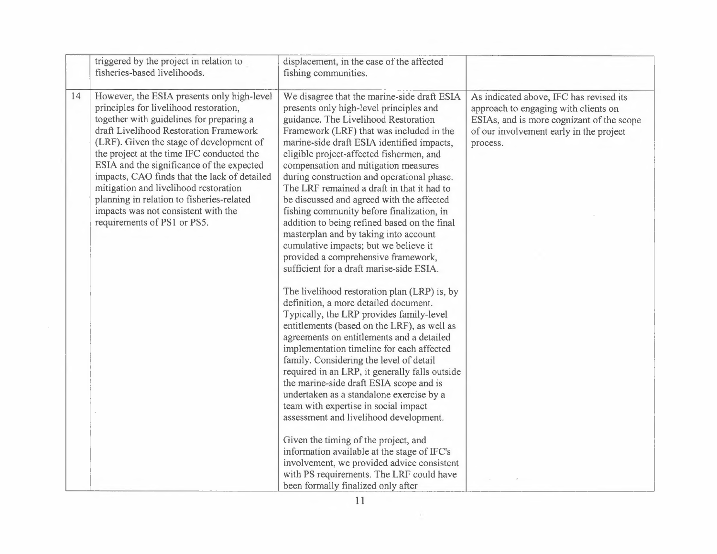|    | triggered by the project in relation to<br>fisheries-based livelihoods.                                                                                                                                                                                                                                                                                                                                                                                                                                                      | displacement, in the case of the affected<br>fishing communities.                                                                                                                                                                                                                                                                                                                                                                                                                                                                                                                                                                                                                                                                                                                                                                                                                                                                                                                                                                                                                                                                                                                                                                                                                                                                                                                                                                                            |                                                                                                                                                                                     |
|----|------------------------------------------------------------------------------------------------------------------------------------------------------------------------------------------------------------------------------------------------------------------------------------------------------------------------------------------------------------------------------------------------------------------------------------------------------------------------------------------------------------------------------|--------------------------------------------------------------------------------------------------------------------------------------------------------------------------------------------------------------------------------------------------------------------------------------------------------------------------------------------------------------------------------------------------------------------------------------------------------------------------------------------------------------------------------------------------------------------------------------------------------------------------------------------------------------------------------------------------------------------------------------------------------------------------------------------------------------------------------------------------------------------------------------------------------------------------------------------------------------------------------------------------------------------------------------------------------------------------------------------------------------------------------------------------------------------------------------------------------------------------------------------------------------------------------------------------------------------------------------------------------------------------------------------------------------------------------------------------------------|-------------------------------------------------------------------------------------------------------------------------------------------------------------------------------------|
| 14 | However, the ESIA presents only high-level<br>principles for livelihood restoration,<br>together with guidelines for preparing a<br>draft Livelihood Restoration Framework<br>(LRF). Given the stage of development of<br>the project at the time IFC conducted the<br>ESIA and the significance of the expected<br>impacts, CAO finds that the lack of detailed<br>mitigation and livelihood restoration<br>planning in relation to fisheries-related<br>impacts was not consistent with the<br>requirements of PS1 or PS5. | We disagree that the marine-side draft ESIA<br>presents only high-level principles and<br>guidance. The Livelihood Restoration<br>Framework (LRF) that was included in the<br>marine-side draft ESIA identified impacts,<br>eligible project-affected fishermen, and<br>compensation and mitigation measures<br>during construction and operational phase.<br>The LRF remained a draft in that it had to<br>be discussed and agreed with the affected<br>fishing community before finalization, in<br>addition to being refined based on the final<br>masterplan and by taking into account<br>cumulative impacts; but we believe it<br>provided a comprehensive framework,<br>sufficient for a draft marise-side ESIA.<br>The livelihood restoration plan (LRP) is, by<br>definition, a more detailed document.<br>Typically, the LRP provides family-level<br>entitlements (based on the LRF), as well as<br>agreements on entitlements and a detailed<br>implementation timeline for each affected<br>family. Considering the level of detail<br>required in an LRP, it generally falls outside<br>the marine-side draft ESIA scope and is<br>undertaken as a standalone exercise by a<br>team with expertise in social impact<br>assessment and livelihood development.<br>Given the timing of the project, and<br>information available at the stage of IFC's<br>involvement, we provided advice consistent<br>with PS requirements. The LRF could have | As indicated above, IFC has revised its<br>approach to engaging with clients on<br>ESIAs, and is more cognizant of the scope<br>of our involvement early in the project<br>process. |
|    |                                                                                                                                                                                                                                                                                                                                                                                                                                                                                                                              | been formally finalized only after                                                                                                                                                                                                                                                                                                                                                                                                                                                                                                                                                                                                                                                                                                                                                                                                                                                                                                                                                                                                                                                                                                                                                                                                                                                                                                                                                                                                                           |                                                                                                                                                                                     |

 $\sim 10^{-11}$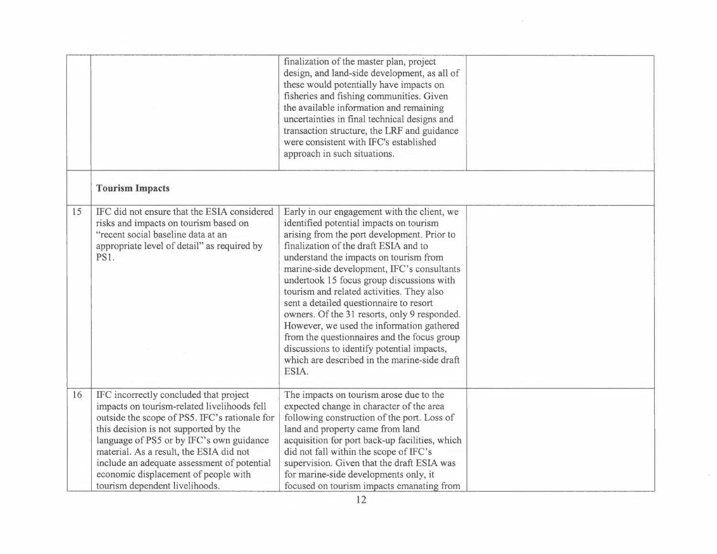|    |                                                                                                                                                                                                                                                                                                                                                                                                 | finalization of the master plan, project<br>design, and land-side development, as all of<br>these would potentially have impacts on<br>fisheries and fishing communities. Given<br>the available information and remaining<br>uncertainties in final technical designs and<br>transaction structure, the LRF and guidance<br>were consistent with IFC's established<br>approach in such situations.                                                                                                                                                                                                                                                            |  |
|----|-------------------------------------------------------------------------------------------------------------------------------------------------------------------------------------------------------------------------------------------------------------------------------------------------------------------------------------------------------------------------------------------------|----------------------------------------------------------------------------------------------------------------------------------------------------------------------------------------------------------------------------------------------------------------------------------------------------------------------------------------------------------------------------------------------------------------------------------------------------------------------------------------------------------------------------------------------------------------------------------------------------------------------------------------------------------------|--|
|    | <b>Tourism Impacts</b>                                                                                                                                                                                                                                                                                                                                                                          |                                                                                                                                                                                                                                                                                                                                                                                                                                                                                                                                                                                                                                                                |  |
| 15 | IFC did not ensure that the ESIA considered<br>risks and impacts on tourism based on<br>"recent social baseline data at an<br>appropriate level of detail" as required by<br><b>PS1.</b>                                                                                                                                                                                                        | Early in our engagement with the client, we<br>identified potential impacts on tourism<br>arising from the port development. Prior to<br>finalization of the draft ESIA and to<br>understand the impacts on tourism from<br>marine-side development, IFC's consultants<br>undertook 15 focus group discussions with<br>tourism and related activities. They also<br>sent a detailed questionnaire to resort<br>owners. Of the 31 resorts, only 9 responded.<br>However, we used the information gathered<br>from the questionnaires and the focus group<br>discussions to identify potential impacts,<br>which are described in the marine-side draft<br>ESIA. |  |
| 16 | IFC incorrectly concluded that project<br>impacts on tourism-related livelihoods fell<br>outside the scope of PS5. IFC's rationale for<br>this decision is not supported by the<br>language of PS5 or by IFC's own guidance<br>material. As a result, the ESIA did not<br>include an adequate assessment of potential<br>economic displacement of people with<br>tourism dependent livelihoods. | The impacts on tourism arose due to the<br>expected change in character of the area<br>following construction of the port. Loss of<br>land and property came from land<br>acquisition for port back-up facilities, which<br>did not fall within the scope of IFC's<br>supervision. Given that the draft ESIA was<br>for marine-side developments only, it<br>focused on tourism impacts emanating from                                                                                                                                                                                                                                                         |  |

 $\mathcal{L}$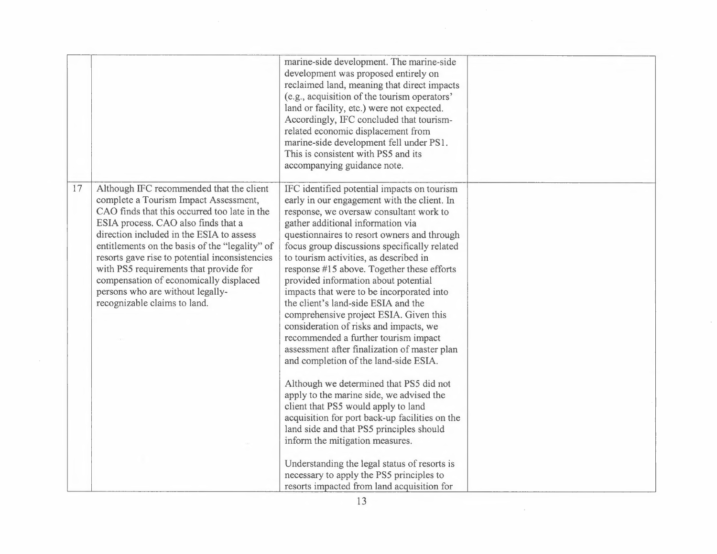|    |                                                                                                                                                                                                                                                                                                                                                                                                                                                                                  | marine-side development. The marine-side<br>development was proposed entirely on<br>reclaimed land, meaning that direct impacts<br>(e.g., acquisition of the tourism operators'<br>land or facility, etc.) were not expected.<br>Accordingly, IFC concluded that tourism-<br>related economic displacement from<br>marine-side development fell under PS1.<br>This is consistent with PS5 and its<br>accompanying guidance note.                                                                                                                                                                                                                                                                                                                                                                                                                                                                                                                                                                                                                                                                                            |  |
|----|----------------------------------------------------------------------------------------------------------------------------------------------------------------------------------------------------------------------------------------------------------------------------------------------------------------------------------------------------------------------------------------------------------------------------------------------------------------------------------|-----------------------------------------------------------------------------------------------------------------------------------------------------------------------------------------------------------------------------------------------------------------------------------------------------------------------------------------------------------------------------------------------------------------------------------------------------------------------------------------------------------------------------------------------------------------------------------------------------------------------------------------------------------------------------------------------------------------------------------------------------------------------------------------------------------------------------------------------------------------------------------------------------------------------------------------------------------------------------------------------------------------------------------------------------------------------------------------------------------------------------|--|
| 17 | Although IFC recommended that the client<br>complete a Tourism Impact Assessment,<br>CAO finds that this occurred too late in the<br>ESIA process. CAO also finds that a<br>direction included in the ESIA to assess<br>entitlements on the basis of the "legality" of<br>resorts gave rise to potential inconsistencies<br>with PS5 requirements that provide for<br>compensation of economically displaced<br>persons who are without legally-<br>recognizable claims to land. | IFC identified potential impacts on tourism<br>early in our engagement with the client. In<br>response, we oversaw consultant work to<br>gather additional information via<br>questionnaires to resort owners and through<br>focus group discussions specifically related<br>to tourism activities, as described in<br>response #15 above. Together these efforts<br>provided information about potential<br>impacts that were to be incorporated into<br>the client's land-side ESIA and the<br>comprehensive project ESIA. Given this<br>consideration of risks and impacts, we<br>recommended a further tourism impact<br>assessment after finalization of master plan<br>and completion of the land-side ESIA.<br>Although we determined that PS5 did not<br>apply to the marine side, we advised the<br>client that PS5 would apply to land<br>acquisition for port back-up facilities on the<br>land side and that PS5 principles should<br>inform the mitigation measures.<br>Understanding the legal status of resorts is<br>necessary to apply the PS5 principles to<br>resorts impacted from land acquisition for |  |
|    |                                                                                                                                                                                                                                                                                                                                                                                                                                                                                  | 13                                                                                                                                                                                                                                                                                                                                                                                                                                                                                                                                                                                                                                                                                                                                                                                                                                                                                                                                                                                                                                                                                                                          |  |

 $\sim$ 

 $\sim$